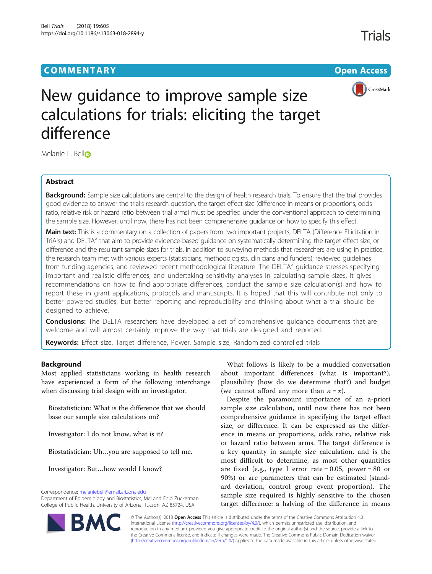# **COMMENTARY COMMENTARY Open Access**



# New guidance to improve sample size calculations for trials: eliciting the target difference

Melanie L. Bello

# Abstract

**Background:** Sample size calculations are central to the design of health research trials. To ensure that the trial provides good evidence to answer the trial's research question, the target effect size (difference in means or proportions, odds ratio, relative risk or hazard ratio between trial arms) must be specified under the conventional approach to determining the sample size. However, until now, there has not been comprehensive guidance on how to specify this effect.

Main text: This is a commentary on a collection of papers from two important projects, DELTA (Difference ELicitation in TriAls) and DELTA<sup>2</sup> that aim to provide evidence-based guidance on systematically determining the target effect size, or difference and the resultant sample sizes for trials. In addition to surveying methods that researchers are using in practice, the research team met with various experts (statisticians, methodologists, clinicians and funders); reviewed guidelines from funding agencies; and reviewed recent methodological literature. The DELTA<sup>2</sup> guidance stresses specifying important and realistic differences, and undertaking sensitivity analyses in calculating sample sizes. It gives recommendations on how to find appropriate differences, conduct the sample size calculation(s) and how to report these in grant applications, protocols and manuscripts. It is hoped that this will contribute not only to better powered studies, but better reporting and reproducibility and thinking about what a trial should be designed to achieve.

**Conclusions:** The DELTA researchers have developed a set of comprehensive quidance documents that are welcome and will almost certainly improve the way that trials are designed and reported.

Keywords: Effect size, Target difference, Power, Sample size, Randomized controlled trials

# Background

Most applied statisticians working in health research have experienced a form of the following interchange when discussing trial design with an investigator.

Biostatistician: What is the difference that we should base our sample size calculations on?

Investigator: I do not know, what is it?

Biostatistician: Uh…you are supposed to tell me.

Investigator: But…how would I know?

Correspondence: [melaniebell@email.arizona.edu](mailto:melaniebell@email.arizona.edu)

BM

What follows is likely to be a muddled conversation about important differences (what is important?), plausibility (how do we determine that?) and budget (we cannot afford any more than  $n = x$ ).

Despite the paramount importance of an a-priori sample size calculation, until now there has not been comprehensive guidance in specifying the target effect size, or difference. It can be expressed as the difference in means or proportions, odds ratio, relative risk or hazard ratio between arms. The target difference is a key quantity in sample size calculation, and is the most difficult to determine, as most other quantities are fixed (e.g., type I error rate  $= 0.05$ , power  $= 80$  or 90%) or are parameters that can be estimated (standard deviation, control group event proportion). The sample size required is highly sensitive to the chosen target difference: a halving of the difference in means

© The Author(s). 2018 Open Access This article is distributed under the terms of the Creative Commons Attribution 4.0 International License [\(http://creativecommons.org/licenses/by/4.0/](http://creativecommons.org/licenses/by/4.0/)), which permits unrestricted use, distribution, and reproduction in any medium, provided you give appropriate credit to the original author(s) and the source, provide a link to the Creative Commons license, and indicate if changes were made. The Creative Commons Public Domain Dedication waiver [\(http://creativecommons.org/publicdomain/zero/1.0/](http://creativecommons.org/publicdomain/zero/1.0/)) applies to the data made available in this article, unless otherwise stated.

Department of Epidemiology and Biostatistics, Mel and Enid Zuckerman College of Public Health, University of Arizona, Tucson, AZ 85724, USA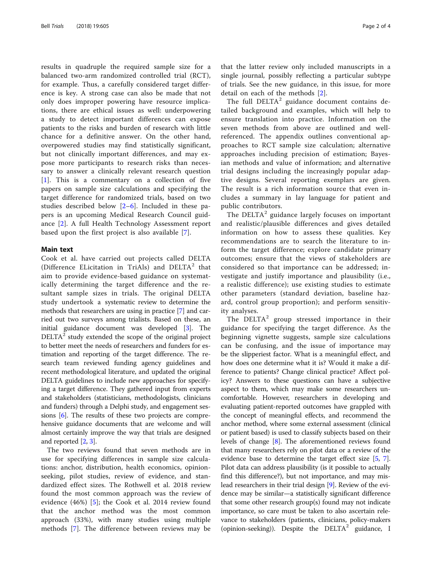results in quadruple the required sample size for a balanced two-arm randomized controlled trial (RCT), for example. Thus, a carefully considered target difference is key. A strong case can also be made that not only does improper powering have resource implications, there are ethical issues as well: underpowering a study to detect important differences can expose patients to the risks and burden of research with little chance for a definitive answer. On the other hand, overpowered studies may find statistically significant, but not clinically important differences, and may expose more participants to research risks than necessary to answer a clinically relevant research question [[1\]](#page-2-0). This is a commentary on a collection of five papers on sample size calculations and specifying the target difference for randomized trials, based on two studies described below  $[2-6]$  $[2-6]$  $[2-6]$  $[2-6]$ . Included in these papers is an upcoming Medical Research Council guidance [\[2](#page-2-0)]. A full Health Technology Assessment report based upon the first project is also available [\[7](#page-2-0)].

## Main text

Cook et al. have carried out projects called DELTA (Difference ELicitation in TriAls) and  $DELTA^2$  that aim to provide evidence-based guidance on systematically determining the target difference and the resultant sample sizes in trials. The original DELTA study undertook a systematic review to determine the methods that researchers are using in practice [[7\]](#page-2-0) and carried out two surveys among trialists. Based on these, an initial guidance document was developed [\[3\]](#page-2-0). The  $DELTA<sup>2</sup>$  study extended the scope of the original project to better meet the needs of researchers and funders for estimation and reporting of the target difference. The research team reviewed funding agency guidelines and recent methodological literature, and updated the original DELTA guidelines to include new approaches for specifying a target difference. They gathered input from experts and stakeholders (statisticians, methodologists, clinicians and funders) through a Delphi study, and engagement sessions [\[6\]](#page-2-0). The results of these two projects are comprehensive guidance documents that are welcome and will almost certainly improve the way that trials are designed and reported [\[2,](#page-2-0) [3](#page-2-0)].

The two reviews found that seven methods are in use for specifying differences in sample size calculations: anchor, distribution, health economics, opinionseeking, pilot studies, review of evidence, and standardized effect sizes. The Rothwell et al. 2018 review found the most common approach was the review of evidence (46%) [[5\]](#page-2-0); the Cook et al. 2014 review found that the anchor method was the most common approach (33%), with many studies using multiple methods [[7\]](#page-2-0). The difference between reviews may be

that the latter review only included manuscripts in a single journal, possibly reflecting a particular subtype of trials. See the new guidance, in this issue, for more detail on each of the methods [[2](#page-2-0)].

The full  $DELTA^2$  guidance document contains detailed background and examples, which will help to ensure translation into practice. Information on the seven methods from above are outlined and wellreferenced. The appendix outlines conventional approaches to RCT sample size calculation; alternative approaches including precision of estimation; Bayesian methods and value of information; and alternative trial designs including the increasingly popular adaptive designs. Several reporting exemplars are given. The result is a rich information source that even includes a summary in lay language for patient and public contributors.

The  $DELTA<sup>2</sup>$  guidance largely focuses on important and realistic/plausible differences and gives detailed information on how to assess these qualities. Key recommendations are to search the literature to inform the target difference; explore candidate primary outcomes; ensure that the views of stakeholders are considered so that importance can be addressed; investigate and justify importance and plausibility (i.e., a realistic difference); use existing studies to estimate other parameters (standard deviation, baseline hazard, control group proportion); and perform sensitivity analyses.

The  $DELTA^2$  group stressed importance in their guidance for specifying the target difference. As the beginning vignette suggests, sample size calculations can be confusing, and the issue of importance may be the slipperiest factor. What is a meaningful effect, and how does one determine what it is? Would it make a difference to patients? Change clinical practice? Affect policy? Answers to these questions can have a subjective aspect to them, which may make some researchers uncomfortable. However, researchers in developing and evaluating patient-reported outcomes have grappled with the concept of meaningful effects, and recommend the anchor method, where some external assessment (clinical or patient based) is used to classify subjects based on their levels of change [[8\]](#page-3-0). The aforementioned reviews found that many researchers rely on pilot data or a review of the evidence base to determine the target effect size [\[5,](#page-2-0) [7](#page-2-0)]. Pilot data can address plausibility (is it possible to actually find this difference?), but not importance, and may mislead researchers in their trial design [[9\]](#page-3-0). Review of the evidence may be similar—a statistically significant difference that some other research group(s) found may not indicate importance, so care must be taken to also ascertain relevance to stakeholders (patients, clinicians, policy-makers (opinion-seeking)). Despite the  $DELTA<sup>2</sup>$  guidance, I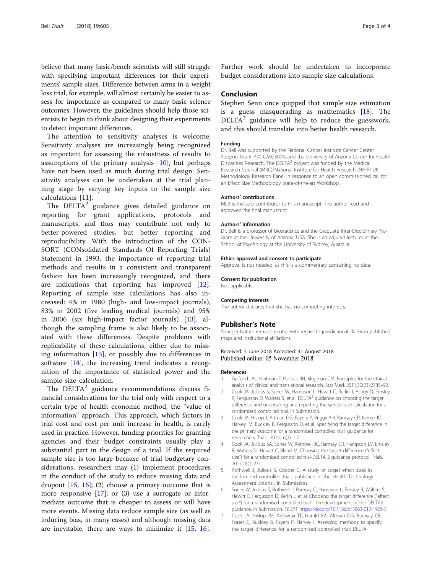<span id="page-2-0"></span>believe that many basic/bench scientists will still struggle with specifying important differences for their experiments' sample sizes. Difference between arms in a weight loss trial, for example, will almost certainly be easier to assess for importance as compared to many basic science outcomes. However, the guidelines should help those scientists to begin to think about designing their experiments to detect important differences.

The attention to sensitivity analyses is welcome. Sensitivity analyses are increasingly being recognized as important for assessing the robustness of results to assumptions of the primary analysis [[10\]](#page-3-0), but perhaps have not been used as much during trial design. Sensitivity analyses can be undertaken at the trial planning stage by varying key inputs to the sample size calculations [[11](#page-3-0)].

The DELTA<sup>2</sup> guidance gives detailed guidance on reporting for grant applications, protocols and manuscripts, and thus may contribute not only to better-powered studies, but better reporting and reproducibility. With the introduction of the CON-SORT (CONsolidated Standards Of Reporting Trials) Statement in 1993, the importance of reporting trial methods and results in a consistent and transparent fashion has been increasingly recognized, and there are indications that reporting has improved [[12](#page-3-0)]. Reporting of sample size calculations has also increased: 4% in 1980 (high- and low-impact journals), 83% in 2002 (five leading medical journals) and 95% in 2006 (six high-impact factor journals) [\[13](#page-3-0)], although the sampling frame is also likely to be associated with these differences. Despite problems with replicability of these calculations, either due to missing information [[13\]](#page-3-0), or possibly due to differences in software  $[14]$  $[14]$ , the increasing trend indicates a recognition of the importance of statistical power and the sample size calculation.

The  $DELTA<sup>2</sup>$  guidance recommendations discuss financial considerations for the trial only with respect to a certain type of health economic method, the "value of information" approach. This approach, which factors in trial cost and cost per unit increase in health, is rarely used in practice. However, funding priorities for granting agencies and their budget constraints usually play a substantial part in the design of a trial. If the required sample size is too large because of trial budgetary considerations, researchers may (1) implement procedures in the conduct of the study to reduce missing data and dropout  $[15, 16]$  $[15, 16]$  $[15, 16]$  $[15, 16]$ ;  $(2)$  choose a primary outcome that is more responsive [[17\]](#page-3-0); or (3) use a surrogate or intermediate outcome that is cheaper to assess or will have more events. Missing data reduce sample size (as well as inducing bias, in many cases) and although missing data are inevitable, there are ways to minimize it [\[15](#page-3-0), [16](#page-3-0)].

Further work should be undertaken to incorporate budget considerations into sample size calculations.

# Conclusion

Stephen Senn once quipped that sample size estimation is a guess masquerading as mathematics [\[18](#page-3-0)]. The  $DELTA<sup>2</sup>$  guidance will help to reduce the guesswork, and this should translate into better health research.

#### Funding

Dr. Bell was supported by the National Cancer Institute Cancer Center Support Grant P30 CA023074, and the University of Arizona Center for Health Disparities Research. The DELTA<sup>2</sup> project was funded by the Medical Research Council (MRC)/National Institute for Health Research (NIHR) UK Methodology Research Panel in response to an open commissioned call for an Effect Size Methodology State-of-the-art Workshop.

#### Authors' contributions

MLB is the sole contributor to this manuscript. The author read and approved the final manuscript.

#### Authors' information

Dr. Bell is a professor of biostatistics and the Graduate Inter-Disciplinary Program at the University of Arizona, USA. She is an adjunct lecturer at the School of Psychology at the University of Sydney, Australia.

#### Ethics approval and consent to participate

Approval is not needed, as this is a commentary containing no data.

#### Consent for publication

Not applicable.

#### Competing interests

The author declares that she has no competing interests.

#### Publisher's Note

Springer Nature remains neutral with regard to jurisdictional claims in published maps and institutional affiliations.

### Received: 5 June 2018 Accepted: 31 August 2018 Published online: 05 November 2018

#### References

- Gelfond JAL, Heitman E, Pollock BH, Klugman CM. Principles for the ethical analysis of clinical and translational research. Stat Med. 2011;30(23):2785–92.
- 2. Cook JA, Julious S, Sones W, Hampson L, Hewitt C, Berlin J, Ashby D, Emsley R, Fergusson D, Walters S, et al. DELTA<sup>2</sup> guidance on choosing the target difference and undertaking and reporting the sample size calculation for a randomised controlled trial. In Submission.
- 3. Cook JA, Hislop J, Altman DG, Fayers P, Briggs AH, Ramsay CR, Norrie JD, Harvey IM, Buckley B, Fergusson D, et al. Specifying the target difference in the primary outcome for a randomised controlled trial: guidance for researchers. Trials. 2015;16(1):1–7.
- 4. Cook JA, Julious SA, Sones W, Rothwell JC, Ramsay CR, Hampson LV, Emsley R, Walters SJ, Hewitt C, Bland M. Choosing the target difference ("effect size") for a randomised controlled trial-DELTA 2 guidance protocol. Trials. 2017;18(1):271.
- Rothwell J, Julious S, Cooper C. A study of target effect sizes in randomised controlled trials published in the Health Technology Assessment Journal. In Submission.
- 6. Sones W, Julious S, Rothwell J, Ramsay C, Hampson L, Emsley R, Walters S, Hewitt C, Fergusson D, Berlin J, et al. Choosing the target difference ("effect size") for a randomised controlled trial—the development of the DELTA2 guidance. In Submission. 18:271 <https://doi.org/10.1186/s13063-017-1969-5>.
- 7. Cook JA, Hislop JM, Adewuyi TE, Harrild KA, Altman DG, Ramsay CR, Fraser C, Buckley B, Fayers P, Harvey I. Assessing methods to specify the target difference for a randomised controlled trial: DELTA